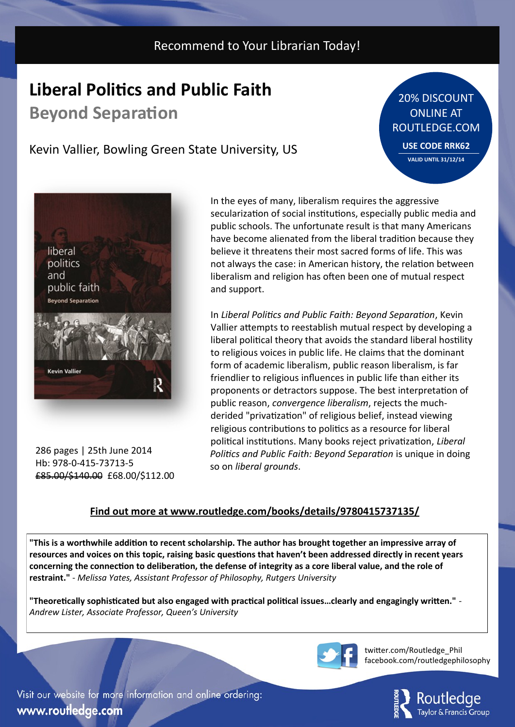## Recommend to Your Librarian Today!

## **Liberal Politics and Public Faith**

**Beyond Separation**

## Kevin Vallier, Bowling Green State University, US

20% DISCOUNT ONLINE AT ROUTLEDGE.COM **USE CODE RRK62**

**VALID UNTIL 31/12/14**

liberal politics and public faith **Beyond Separation Kevin Vallier** 

286 pages | 25th June 2014 Hb: 978-0-415-73713-5 £85.00/\$140.00 £68.00/\$112.00

In the eyes of many, liberalism requires the aggressive secularization of social institutions, especially public media and public schools. The unfortunate result is that many Americans have become alienated from the liberal tradition because they believe it threatens their most sacred forms of life. This was not always the case: in American history, the relation between liberalism and religion has often been one of mutual respect and support.

In *Liberal Politics and Public Faith: Beyond Separation*, Kevin Vallier attempts to reestablish mutual respect by developing a liberal political theory that avoids the standard liberal hostility to religious voices in public life. He claims that the dominant form of academic liberalism, public reason liberalism, is far friendlier to religious influences in public life than either its proponents or detractors suppose. The best interpretation of public reason, *convergence liberalism*, rejects the muchderided "privatization" of religious belief, instead viewing religious contributions to politics as a resource for liberal political institutions. Many books reject privatization, *Liberal Politics and Public Faith: Beyond Separation* is unique in doing so on *liberal grounds*.

### **Find out more at www.routledge.com/books/details/9780415737135/**

**"This is a worthwhile addition to recent scholarship. The author has brought together an impressive array of resources and voices on this topic, raising basic questions that haven't been addressed directly in recent years concerning the connection to deliberation, the defense of integrity as a core liberal value, and the role of restraint."** - *Melissa Yates, Assistant Professor of Philosophy, Rutgers University*

**"Theoretically sophisticated but also engaged with practical political issues…clearly and engagingly written."** - *Andrew Lister, Associate Professor, Queen's University*



twitter.com/Routledge\_Phil facebook.com/routledgephilosophy



Visit our website for more information and online ordering: www.routledge.com